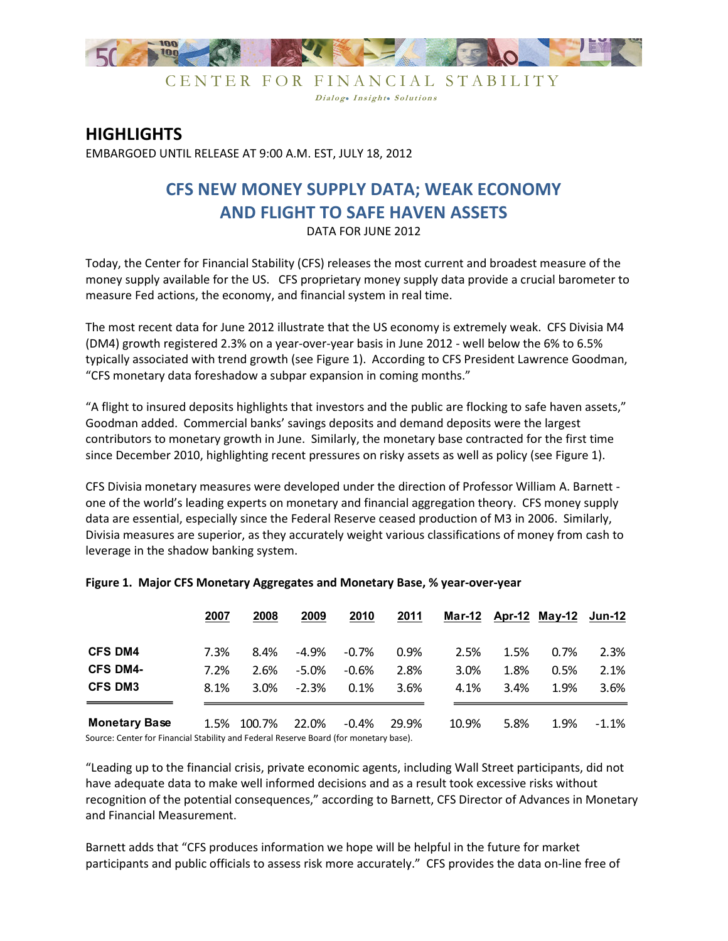

CENTER FOR FINANCIAL STABILITY Dialog. Insight. Solutions

## **HIGHLIGHTS**

EMBARGOED UNTIL RELEASE AT 9:00 A.M. EST, JULY 18, 2012

## **CFS NEW MONEY SUPPLY DATA; WEAK ECONOMY AND FLIGHT TO SAFE HAVEN ASSETS**

DATA FOR JUNE 2012

Today, the Center for Financial Stability (CFS) releases the most current and broadest measure of the money supply available for the US. CFS proprietary money supply data provide a crucial barometer to measure Fed actions, the economy, and financial system in real time.

The most recent data for June 2012 illustrate that the US economy is extremely weak. CFS Divisia M4 (DM4) growth registered 2.3% on a year-over-year basis in June 2012 - well below the 6% to 6.5% typically associated with trend growth (see Figure 1). According to CFS President Lawrence Goodman, "CFS monetary data foreshadow a subpar expansion in coming months."

"A flight to insured deposits highlights that investors and the public are flocking to safe haven assets," Goodman added. Commercial banks' savings deposits and demand deposits were the largest contributors to monetary growth in June. Similarly, the monetary base contracted for the first time since December 2010, highlighting recent pressures on risky assets as well as policy (see Figure 1).

CFS Divisia monetary measures were developed under the direction of Professor William A. Barnett one of the world's leading experts on monetary and financial aggregation theory. CFS money supply data are essential, especially since the Federal Reserve ceased production of M3 in 2006. Similarly, Divisia measures are superior, as they accurately weight various classifications of money from cash to leverage in the shadow banking system.

|                      | 2007 | 2008             | 2009     | 2010    | 2011  |       |      | Mar-12 Apr-12 May-12 | Jun-12   |
|----------------------|------|------------------|----------|---------|-------|-------|------|----------------------|----------|
| <b>CFS DM4</b>       | 7.3% | 8.4%             | $-4.9%$  | $-0.7%$ | 0.9%  | 2.5%  | 1.5% | 0.7%                 | 2.3%     |
| <b>CFS DM4-</b>      | 7.2% | 2.6%             | $-5.0\%$ | $-0.6%$ | 2.8%  | 3.0%  | 1.8% | 0.5%                 | 2.1%     |
| <b>CFS DM3</b>       | 8.1% | 3.0%             | $-2.3%$  | 0.1%    | 3.6%  | 4.1%  | 3.4% | 1.9%                 | $3.6\%$  |
| <b>Monetary Base</b> |      | 1.5% 100.7%<br>. | 22.0%    | $-0.4%$ | 29.9% | 10.9% | 5.8% | 1.9%                 | $-1.1\%$ |

## **Figure 1. Major CFS Monetary Aggregates and Monetary Base, % year-over-year**

Source: Center for Financial Stability and Federal Reserve Board (for monetary base).

"Leading up to the financial crisis, private economic agents, including Wall Street participants, did not have adequate data to make well informed decisions and as a result took excessive risks without recognition of the potential consequences," according to Barnett, CFS Director of Advances in Monetary and Financial Measurement.

Barnett adds that "CFS produces information we hope will be helpful in the future for market participants and public officials to assess risk more accurately." CFS provides the data on-line free of